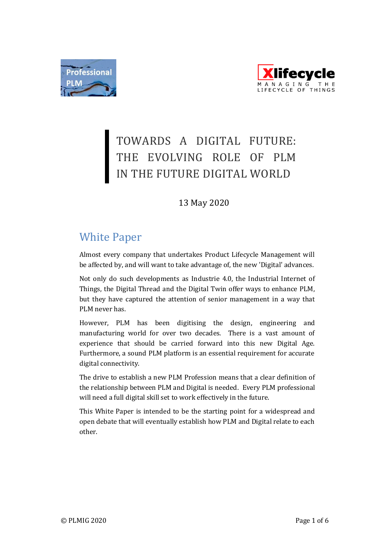



# TOWARDS A DIGITAL FUTURE: THE EVOLVING ROLE OF PLM IN THE FUTURE DIGITAL WORLD

# 13 May 2020

# White Paper

Almost every company that undertakes Product Lifecycle Management will be affected by, and will want to take advantage of, the new 'Digital' advances.

Not only do such developments as Industrie 4.0, the Industrial Internet of Things, the Digital Thread and the Digital Twin offer ways to enhance PLM, but they have captured the attention of senior management in a way that PLM never has.

However, PLM has been digitising the design, engineering and manufacturing world for over two decades. There is a vast amount of experience that should be carried forward into this new Digital Age. Furthermore, a sound PLM platform is an essential requirement for accurate digital connectivity.

The drive to establish a new PLM Profession means that a clear definition of the relationship between PLM and Digital is needed. Every PLM professional will need a full digital skill set to work effectively in the future.

This White Paper is intended to be the starting point for a widespread and open debate that will eventually establish how PLM and Digital relate to each other.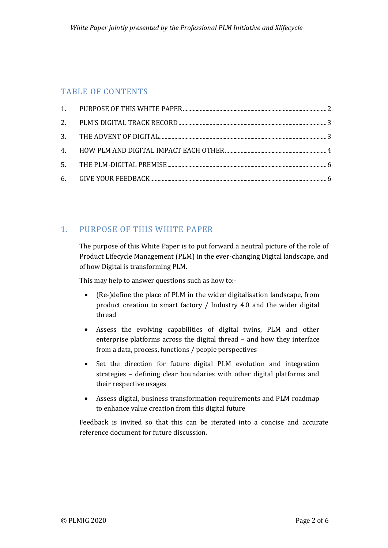# TABLE OF CONTENTS

# <span id="page-1-0"></span>1. PURPOSE OF THIS WHITE PAPER

The purpose of this White Paper is to put forward a neutral picture of the role of Product Lifecycle Management (PLM) in the ever-changing Digital landscape, and of how Digital is transforming PLM.

This may help to answer questions such as how to:-

- (Re-)define the place of PLM in the wider digitalisation landscape, from product creation to smart factory / Industry 4.0 and the wider digital thread
- Assess the evolving capabilities of digital twins, PLM and other enterprise platforms across the digital thread – and how they interface from a data, process, functions / people perspectives
- Set the direction for future digital PLM evolution and integration strategies – defining clear boundaries with other digital platforms and their respective usages
- Assess digital, business transformation requirements and PLM roadmap to enhance value creation from this digital future

Feedback is invited so that this can be iterated into a concise and accurate reference document for future discussion.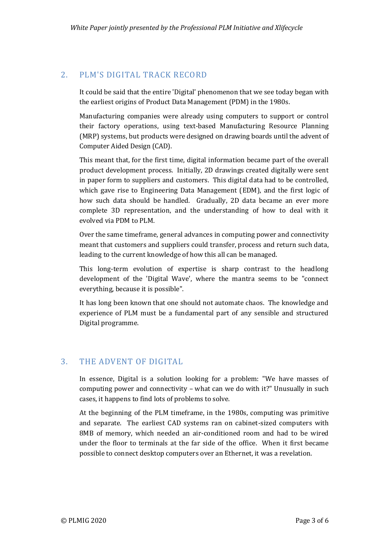# <span id="page-2-0"></span>2. PLM'S DIGITAL TRACK RECORD

It could be said that the entire 'Digital' phenomenon that we see today began with the earliest origins of Product Data Management (PDM) in the 1980s.

Manufacturing companies were already using computers to support or control their factory operations, using text-based Manufacturing Resource Planning (MRP) systems, but products were designed on drawing boards until the advent of Computer Aided Design (CAD).

This meant that, for the first time, digital information became part of the overall product development process. Initially, 2D drawings created digitally were sent in paper form to suppliers and customers. This digital data had to be controlled, which gave rise to Engineering Data Management (EDM), and the first logic of how such data should be handled. Gradually, 2D data became an ever more complete 3D representation, and the understanding of how to deal with it evolved via PDM to PLM.

Over the same timeframe, general advances in computing power and connectivity meant that customers and suppliers could transfer, process and return such data, leading to the current knowledge of how this all can be managed.

This long-term evolution of expertise is sharp contrast to the headlong development of the 'Digital Wave', where the mantra seems to be "connect everything, because it is possible".

It has long been known that one should not automate chaos. The knowledge and experience of PLM must be a fundamental part of any sensible and structured Digital programme.

# <span id="page-2-1"></span>3. THE ADVENT OF DIGITAL

In essence, Digital is a solution looking for a problem: "We have masses of computing power and connectivity – what can we do with it?" Unusually in such cases, it happens to find lots of problems to solve.

At the beginning of the PLM timeframe, in the 1980s, computing was primitive and separate. The earliest CAD systems ran on cabinet-sized computers with 8MB of memory, which needed an air-conditioned room and had to be wired under the floor to terminals at the far side of the office. When it first became possible to connect desktop computers over an Ethernet, it was a revelation.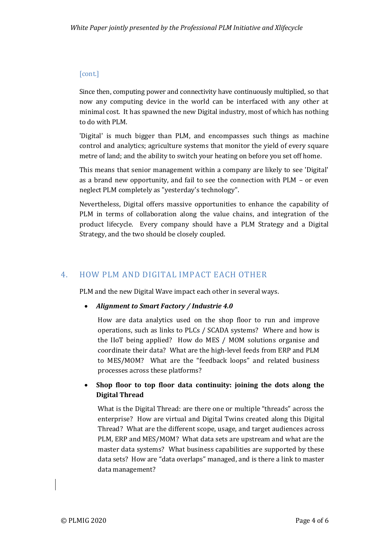#### [cont.]

Since then, computing power and connectivity have continuously multiplied, so that now any computing device in the world can be interfaced with any other at minimal cost. It has spawned the new Digital industry, most of which has nothing to do with PLM.

'Digital' is much bigger than PLM, and encompasses such things as machine control and analytics; agriculture systems that monitor the yield of every square metre of land; and the ability to switch your heating on before you set off home.

This means that senior management within a company are likely to see 'Digital' as a brand new opportunity, and fail to see the connection with PLM – or even neglect PLM completely as "yesterday's technology".

Nevertheless, Digital offers massive opportunities to enhance the capability of PLM in terms of collaboration along the value chains, and integration of the product lifecycle. Every company should have a PLM Strategy and a Digital Strategy, and the two should be closely coupled.

# <span id="page-3-0"></span>4. HOW PLM AND DIGITAL IMPACT EACH OTHER

PLM and the new Digital Wave impact each other in several ways.

*Alignment to Smart Factory / Industrie 4.0*

How are data analytics used on the shop floor to run and improve operations, such as links to PLCs / SCADA systems? Where and how is the IIoT being applied? How do MES / MOM solutions organise and coordinate their data? What are the high-level feeds from ERP and PLM to MES/MOM? What are the "feedback loops" and related business processes across these platforms?

#### **Shop floor to top floor data continuity: joining the dots along the Digital Thread**

What is the Digital Thread: are there one or multiple "threads" across the enterprise? How are virtual and Digital Twins created along this Digital Thread? What are the different scope, usage, and target audiences across PLM, ERP and MES/MOM? What data sets are upstream and what are the master data systems? What business capabilities are supported by these data sets? How are "data overlaps" managed, and is there a link to master data management?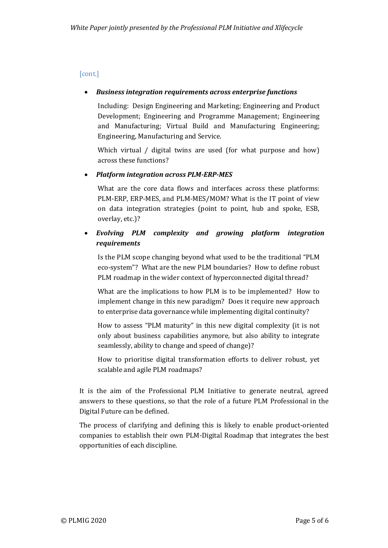#### [cont.]

#### *Business integration requirements across enterprise functions*

Including: Design Engineering and Marketing; Engineering and Product Development; Engineering and Programme Management; Engineering and Manufacturing; Virtual Build and Manufacturing Engineering; Engineering, Manufacturing and Service.

Which virtual / digital twins are used (for what purpose and how) across these functions?

#### *Platform integration across PLM-ERP-MES*

What are the core data flows and interfaces across these platforms: PLM-ERP, ERP-MES, and PLM-MES/MOM? What is the IT point of view on data integration strategies (point to point, hub and spoke, ESB, overlay, etc.)?

#### *Evolving PLM complexity and growing platform integration requirements*

Is the PLM scope changing beyond what used to be the traditional "PLM eco-system"? What are the new PLM boundaries? How to define robust PLM roadmap in the wider context of hyperconnected digital thread?

What are the implications to how PLM is to be implemented? How to implement change in this new paradigm? Does it require new approach to enterprise data governance while implementing digital continuity?

How to assess "PLM maturity" in this new digital complexity (it is not only about business capabilities anymore, but also ability to integrate seamlessly, ability to change and speed of change)?

How to prioritise digital transformation efforts to deliver robust, yet scalable and agile PLM roadmaps?

It is the aim of the Professional PLM Initiative to generate neutral, agreed answers to these questions, so that the role of a future PLM Professional in the Digital Future can be defined.

The process of clarifying and defining this is likely to enable product-oriented companies to establish their own PLM-Digital Roadmap that integrates the best opportunities of each discipline.